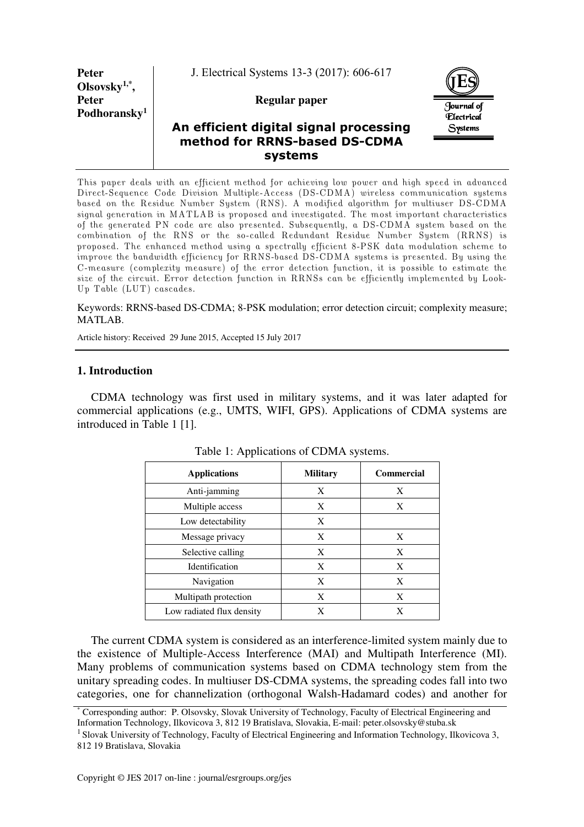**Peter Olsovsky1,\* , Peter Podhoransky<sup>1</sup>** J. Electrical Systems 13-3 (2017): 606-617

### **Regular paper**



# **An efficient digital signal processing method for RRNS-based DS-CDMA systems**

This paper deals with an efficient method for achieving low power and high speed in advanced Direct-Sequence Code Division Multiple-Access (DS-CDMA) wireless communication systems based on the Residue Number System (RNS). A modified algorithm for multiuser DS-CDMA signal generation in MATLAB is proposed and investigated. The most important characteristics of the generated PN code are also presented. Subsequently, a DS-CDMA system based on the combination of the RNS or the so-called Redundant Residue Number System (RRNS) is proposed. The enhanced method using a spectrally efficient 8-PSK data modulation scheme to improve the bandwidth efficiency for RRNS-based DS-CDMA systems is presented. By using the C-measure (complexity measure) of the error detection function, it is possible to estimate the size of the circuit. Error detection function in RRNSs can be efficiently implemented by Look-Up Table (LUT) cascades.

#### Keywords: RRNS-based DS-CDMA; 8-PSK modulation; error detection circuit; complexity measure; MATLAB.

Article history: Received 29 June 2015, Accepted 15 July 2017

### **1. Introduction**

CDMA technology was first used in military systems, and it was later adapted for commercial applications (e.g., UMTS, WIFI, GPS). Applications of CDMA systems are introduced in Table 1 [1].

| rable 1. Typhications of CDIVITY systems. |                 |                   |  |  |  |
|-------------------------------------------|-----------------|-------------------|--|--|--|
| <b>Applications</b>                       | <b>Military</b> | <b>Commercial</b> |  |  |  |
| Anti-jamming                              | X               | X                 |  |  |  |
| Multiple access                           | X               | X                 |  |  |  |
| Low detectability                         | X               |                   |  |  |  |
| Message privacy                           | X               | X                 |  |  |  |
| Selective calling                         | X               | X                 |  |  |  |
| Identification                            | X               | X                 |  |  |  |
| Navigation                                | X               | X                 |  |  |  |
| Multipath protection                      | X               | X                 |  |  |  |
| Low radiated flux density                 | X               | X                 |  |  |  |

Table 1: Applications of CDMA systems.

The current CDMA system is considered as an interference-limited system mainly due to the existence of Multiple-Access Interference (MAI) and Multipath Interference (MI). Many problems of communication systems based on CDMA technology stem from the unitary spreading codes. In multiuser DS-CDMA systems, the spreading codes fall into two categories, one for channelization (orthogonal Walsh-Hadamard codes) and another for

<sup>\*</sup> Corresponding author: P. Olsovsky, Slovak University of Technology, Faculty of Electrical Engineering and Information Technology, Ilkovicova 3, 812 19 Bratislava, Slovakia, E-mail: peter.olsovsky@stuba.sk

<sup>&</sup>lt;sup>1</sup> Slovak University of Technology, Faculty of Electrical Engineering and Information Technology, Ilkovicova 3, 812 19 Bratislava, Slovakia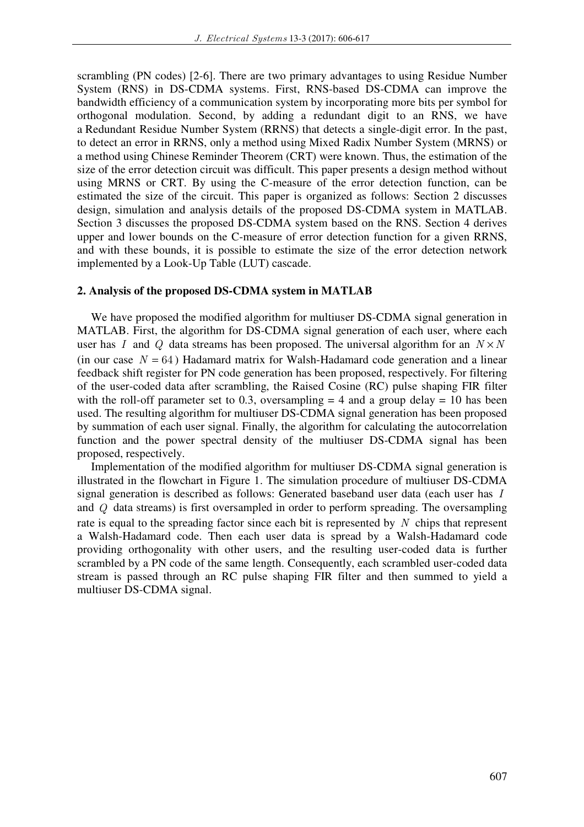scrambling (PN codes) [2-6]. There are two primary advantages to using Residue Number System (RNS) in DS-CDMA systems. First, RNS-based DS-CDMA can improve the bandwidth efficiency of a communication system by incorporating more bits per symbol for orthogonal modulation. Second, by adding a redundant digit to an RNS, we have a Redundant Residue Number System (RRNS) that detects a single-digit error. In the past, to detect an error in RRNS, only a method using Mixed Radix Number System (MRNS) or a method using Chinese Reminder Theorem (CRT) were known. Thus, the estimation of the size of the error detection circuit was difficult. This paper presents a design method without using MRNS or CRT. By using the C-measure of the error detection function, can be estimated the size of the circuit. This paper is organized as follows: Section 2 discusses design, simulation and analysis details of the proposed DS-CDMA system in MATLAB. Section 3 discusses the proposed DS-CDMA system based on the RNS. Section 4 derives upper and lower bounds on the C-measure of error detection function for a given RRNS, and with these bounds, it is possible to estimate the size of the error detection network implemented by a Look-Up Table (LUT) cascade.

#### **2. Analysis of the proposed DS-CDMA system in MATLAB**

We have proposed the modified algorithm for multiuser DS-CDMA signal generation in MATLAB. First, the algorithm for DS-CDMA signal generation of each user, where each user has *I* and *Q* data streams has been proposed. The universal algorithm for an  $N \times N$ (in our case  $N = 64$ ) Hadamard matrix for Walsh-Hadamard code generation and a linear feedback shift register for PN code generation has been proposed, respectively. For filtering of the user-coded data after scrambling, the Raised Cosine (RC) pulse shaping FIR filter with the roll-off parameter set to 0.3, oversampling  $=$  4 and a group delay  $=$  10 has been used. The resulting algorithm for multiuser DS-CDMA signal generation has been proposed by summation of each user signal. Finally, the algorithm for calculating the autocorrelation function and the power spectral density of the multiuser DS-CDMA signal has been proposed, respectively.

Implementation of the modified algorithm for multiuser DS-CDMA signal generation is illustrated in the flowchart in Figure 1. The simulation procedure of multiuser DS-CDMA signal generation is described as follows: Generated baseband user data (each user has *I* and *Q* data streams) is first oversampled in order to perform spreading. The oversampling rate is equal to the spreading factor since each bit is represented by *N* chips that represent a Walsh-Hadamard code. Then each user data is spread by a Walsh-Hadamard code providing orthogonality with other users, and the resulting user-coded data is further scrambled by a PN code of the same length. Consequently, each scrambled user-coded data stream is passed through an RC pulse shaping FIR filter and then summed to yield a multiuser DS-CDMA signal.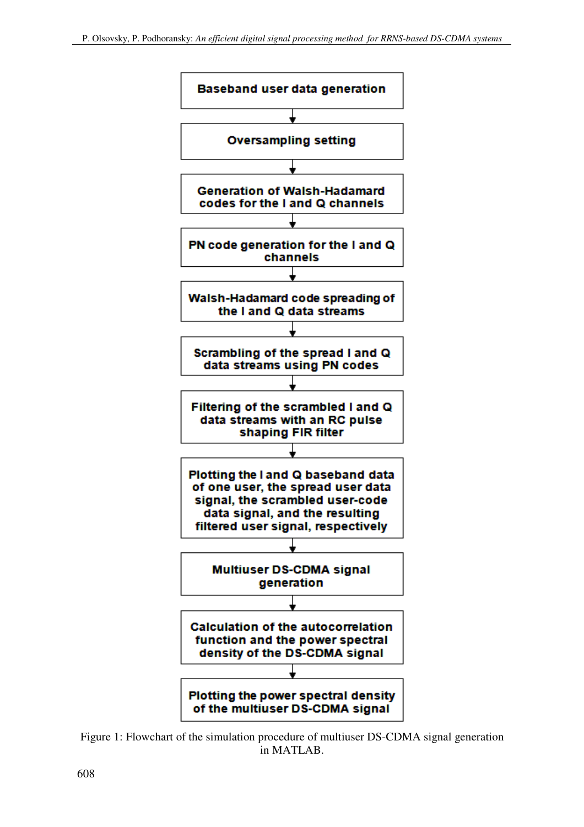

Figure 1: Flowchart of the simulation procedure of multiuser DS-CDMA signal generation in MATLAB.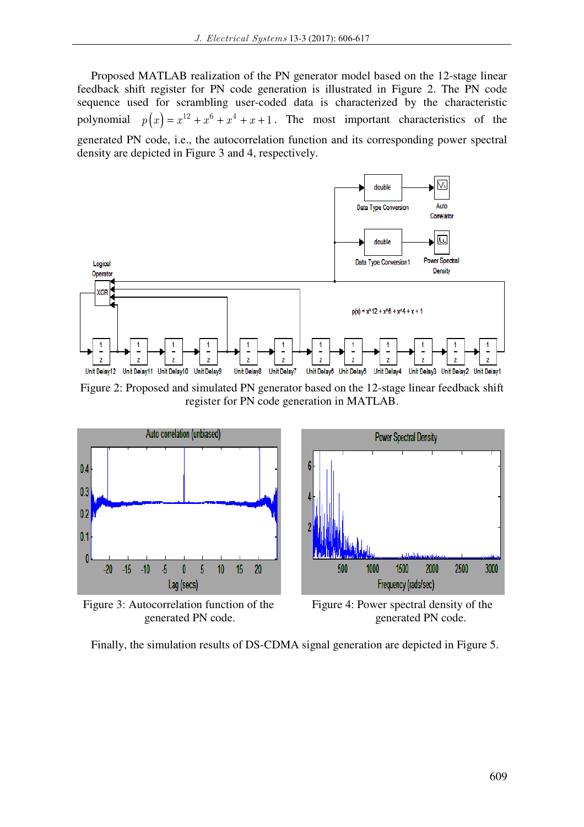Proposed MATLAB realization of the PN generator model based on the 12-stage linear feedback shift register for PN code generation is illustrated in Figure 2. The PN code sequence used for scrambling user-coded data is characterized by the characteristic polynomial  $p(x) = x^{12} + x^6 + x^4 + x + 1$ . The most important characteristics of the generated PN code, i.e., the autocorrelation function and its corresponding power spectral density are depicted in Figure 3 and 4, respectively.



Figure 2: Proposed and simulated PN generator based on the 12-stage linear feedback shift register for PN code generation in MATLAB.



Figure 3: Autocorrelation function of the Figure 4: Power spectral density of the



generated PN code.  $\qquad \qquad$  generated PN code.

Finally, the simulation results of DS-CDMA signal generation are depicted in Figure 5.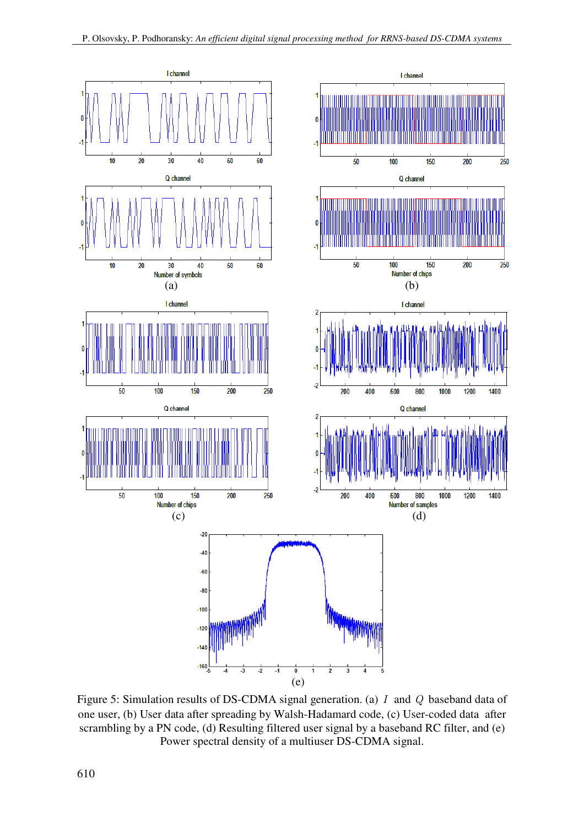

Figure 5: Simulation results of DS-CDMA signal generation. (a) *I* and *Q* baseband data of one user, (b) User data after spreading by Walsh-Hadamard code, (c) User-coded data after scrambling by a PN code, (d) Resulting filtered user signal by a baseband RC filter, and (e) Power spectral density of a multiuser DS-CDMA signal.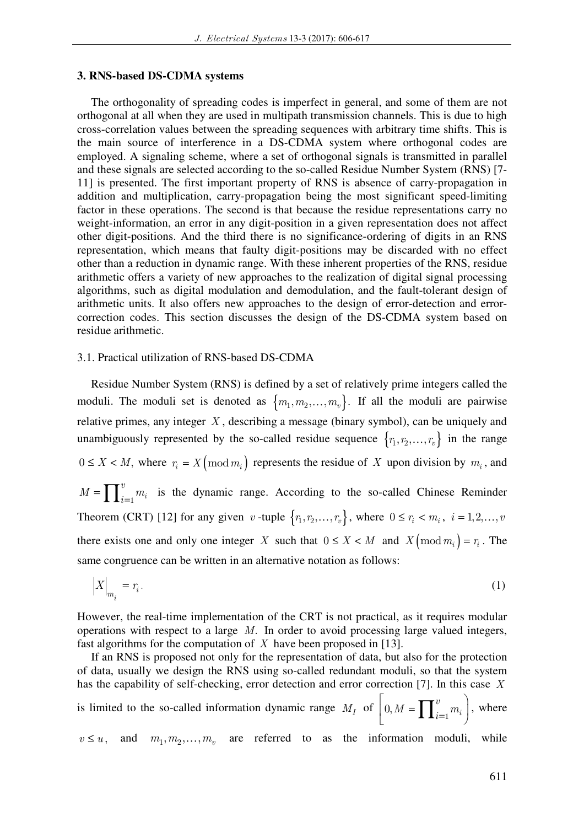#### **3. RNS-based DS-CDMA systems**

The orthogonality of spreading codes is imperfect in general, and some of them are not orthogonal at all when they are used in multipath transmission channels. This is due to high cross-correlation values between the spreading sequences with arbitrary time shifts. This is the main source of interference in a DS-CDMA system where orthogonal codes are employed. A signaling scheme, where a set of orthogonal signals is transmitted in parallel and these signals are selected according to the so-called Residue Number System (RNS) [7- 11] is presented. The first important property of RNS is absence of carry-propagation in addition and multiplication, carry-propagation being the most significant speed-limiting factor in these operations. The second is that because the residue representations carry no weight-information, an error in any digit-position in a given representation does not affect other digit-positions. And the third there is no significance-ordering of digits in an RNS representation, which means that faulty digit-positions may be discarded with no effect other than a reduction in dynamic range. With these inherent properties of the RNS, residue arithmetic offers a variety of new approaches to the realization of digital signal processing algorithms, such as digital modulation and demodulation, and the fault-tolerant design of arithmetic units. It also offers new approaches to the design of error-detection and errorcorrection codes. This section discusses the design of the DS-CDMA system based on residue arithmetic.

#### 3.1. Practical utilization of RNS-based DS-CDMA

Residue Number System (RNS) is defined by a set of relatively prime integers called the moduli. The moduli set is denoted as  ${m_1, m_2, ..., m_v}$ . If all the moduli are pairwise relative primes, any integer *X* , describing a message (binary symbol), can be uniquely and unambiguously represented by the so-called residue sequence  $\{r_1, r_2, \ldots, r_v\}$  in the range  $0 \le X \le M$ , where  $r_i = X \pmod{m_i}$  represents the residue of X upon division by  $m_i$ , and  $= \prod_{i=1}^v m_i$ *v*  $M = \prod_{i=1}^{n} m_i$  is the dynamic range. According to the so-called Chinese Reminder Theorem (CRT) [12] for any given *v* -tuple  $\{r_1, r_2, \ldots, r_v\}$ , where  $0 \le r_i < m_i$ ,  $i = 1, 2, \ldots, v$ there exists one and only one integer *X* such that  $0 \le X \le M$  and  $X \text{ (mod } m_i) = r_i$ . The same congruence can be written in an alternative notation as follows:

$$
\left|X\right|_{m_i} = r_i. \tag{1}
$$

However, the real-time implementation of the CRT is not practical, as it requires modular operations with respect to a large *M*. In order to avoid processing large valued integers, fast algorithms for the computation of *X* have been proposed in [13].

If an RNS is proposed not only for the representation of data, but also for the protection of data, usually we design the RNS using so-called redundant moduli, so that the system has the capability of self-checking, error detection and error correction [7]. In this case *X* is limited to the so-called information dynamic range  $M_I$  of  $\bigg| 0, M = \bigg| \prod_{i=1}^{\infty}$  $\left[ \begin{array}{ccc} \cdot & \cdot & \cdot \\ \cdot & \cdot & \cdot \end{array} \right]$  $\left[ 0, M = \prod_{i=1}^{v} m_i \right)$  $M = \prod_{i=1}^{6} m_i$ , where  $v \le u$ , and  $m_1, m_2, \ldots, m_v$  are referred to as the information moduli, while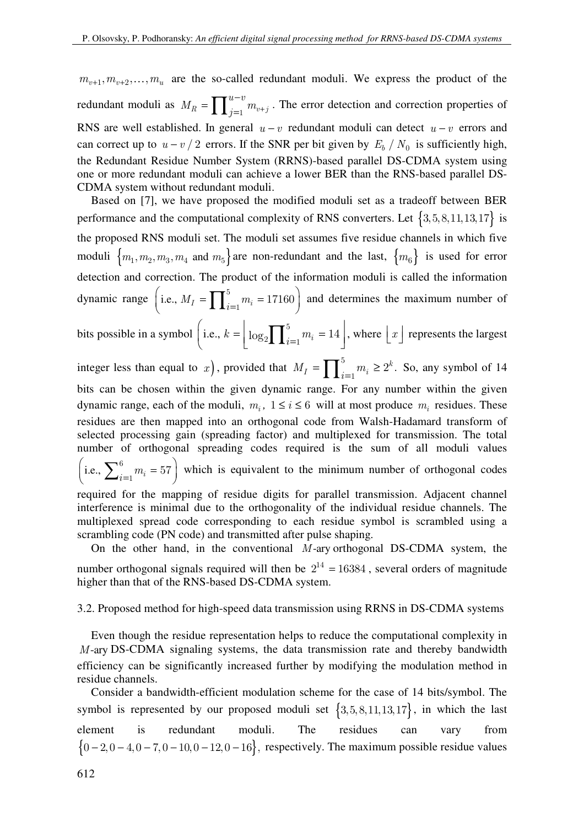$m_{v+1}, m_{v+2}, \ldots, m_u$  are the so-called redundant moduli. We express the product of the redundant moduli as  $M_R = \prod_{i=1}^{n-v} m_{v+1}$  $I_R = \prod_{j=1}^{u-v} m_{v+j}$  $u-v$  $M_R = \prod_{j=1}^{n} m_{v+j}$ . The error detection and correction properties of RNS are well established. In general  $u - v$  redundant moduli can detect  $u - v$  errors and can correct up to  $u - v / 2$  errors. If the SNR per bit given by  $E_b / N_0$  is sufficiently high, the Redundant Residue Number System (RRNS)-based parallel DS-CDMA system using one or more redundant moduli can achieve a lower BER than the RNS-based parallel DS-CDMA system without redundant moduli.

Based on [7], we have proposed the modified moduli set as a tradeoff between BER performance and the computational complexity of RNS converters. Let  $\{3, 5, 8, 11, 13, 17\}$  is the proposed RNS moduli set. The moduli set assumes five residue channels in which five moduli  ${m_1, m_2, m_3, m_4}$  and  $m_5$  are non-redundant and the last,  ${m_6}$  is used for error detection and correction. The product of the information moduli is called the information dynamic range i.e.,  $M_I = \prod_{i=1}^{5}$ (i.e.,  $M_I = \prod_{i=1}^{5} m_i = 17160$ ) and determines the maximum number of

bits possible in a symbol  $\left( \text{i.e., } k = \left| \log_2 \right| \right)^5$ .  $\left(i.e., k = \left\lfloor \log_2 \prod_{i=1}^5 m_i \right\rfloor = 14 \right]$ , where  $\left\lfloor x \right\rfloor$  represents the largest

integer less than equal to x, provided that  $M_I = \prod_{i=1}^{5}$  $M_I = \prod_{i=1}^{5} m_i \geq 2^k$ . So, any symbol of 14 bits can be chosen within the given dynamic range. For any number within the given dynamic range, each of the moduli,  $m_i$ ,  $1 \le i \le 6$  will at most produce  $m_i$  residues. These residues are then mapped into an orthogonal code from Walsh-Hadamard transform of selected processing gain (spreading factor) and multiplexed for transmission. The total number of orthogonal spreading codes required is the sum of all moduli values  $\left(i.e., \sum_{i=1}^{6} m_i = 57\right)$  $\int_{i=1}^{\infty} m_i = 57$  which is equivalent to the minimum number of orthogonal codes required for the mapping of residue digits for parallel transmission. Adjacent channel interference is minimal due to the orthogonality of the individual residue channels. The multiplexed spread code corresponding to each residue symbol is scrambled using a

scrambling code (PN code) and transmitted after pulse shaping. On the other hand, in the conventional *M*-ary orthogonal DS-CDMA system, the number orthogonal signals required will then be  $2^{14} = 16384$ , several orders of magnitude higher than that of the RNS-based DS-CDMA system.

3.2. Proposed method for high-speed data transmission using RRNS in DS-CDMA systems

Even though the residue representation helps to reduce the computational complexity in *M*-ary DS-CDMA signaling systems, the data transmission rate and thereby bandwidth efficiency can be significantly increased further by modifying the modulation method in residue channels.

Consider a bandwidth-efficient modulation scheme for the case of 14 bits/symbol. The symbol is represented by our proposed moduli set  $\{3, 5, 8, 11, 13, 17\}$ , in which the last element is redundant moduli. The residues can vary from  ${0 - 2, 0 - 4, 0 - 7, 0 - 10, 0 - 12, 0 - 16}$ , respectively. The maximum possible residue values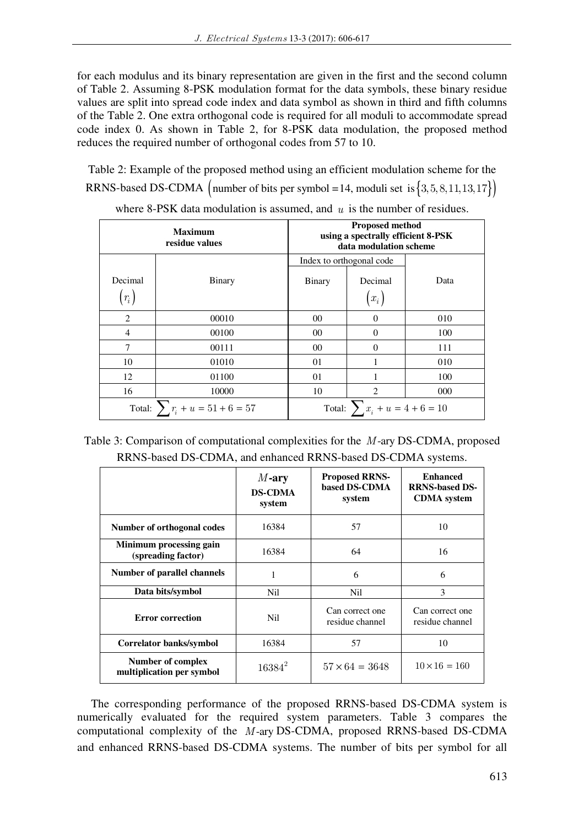for each modulus and its binary representation are given in the first and the second column of Table 2. Assuming 8-PSK modulation format for the data symbols, these binary residue values are split into spread code index and data symbol as shown in third and fifth columns of the Table 2. One extra orthogonal code is required for all moduli to accommodate spread code index 0. As shown in Table 2, for 8-PSK data modulation, the proposed method reduces the required number of orthogonal codes from 57 to 10.

Table 2: Example of the proposed method using an efficient modulation scheme for the RRNS-based DS-CDMA (number of bits per symbol = 14, moduli set is  $\{3, 5, 8, 11, 13, 17\}$ )

| <b>Maximum</b><br>residue values |                                         | <b>Proposed method</b><br>using a spectrally efficient 8-PSK<br>data modulation scheme |                                    |      |
|----------------------------------|-----------------------------------------|----------------------------------------------------------------------------------------|------------------------------------|------|
|                                  |                                         | Index to orthogonal code                                                               |                                    |      |
| Decimal<br>$(r_i)$               | Binary                                  | <b>Binary</b>                                                                          | Decimal<br>$\left(x_i\right)$      | Data |
| 2                                | 00010                                   | $00\,$                                                                                 | $\Omega$                           | 010  |
| 4                                | 00100                                   | $00\,$                                                                                 | $\Omega$                           | 100  |
| 7                                | 00111                                   | $00\,$                                                                                 | $\Omega$                           | 111  |
| 10                               | 01010                                   | 01                                                                                     |                                    | 010  |
| 12                               | 01100                                   | 01                                                                                     |                                    | 100  |
| 16                               | 10000                                   | 10                                                                                     | $\overline{2}$                     | 000  |
|                                  | Total: $\sum_{i} r_i + u = 51 + 6 = 57$ |                                                                                        | Total: $\sum x_i + u = 4 + 6 = 10$ |      |

where 8-PSK data modulation is assumed, and *u* is the number of residues.

| Table 3: Comparison of computational complexities for the M-ary DS-CDMA, proposed |  |
|-----------------------------------------------------------------------------------|--|
| RRNS-based DS-CDMA, and enhanced RRNS-based DS-CDMA systems.                      |  |

|                                                | $M$ -ary<br><b>DS-CDMA</b><br>system | <b>Proposed RRNS-</b><br>based DS-CDMA<br>system | <b>Enhanced</b><br><b>RRNS-based DS-</b><br><b>CDMA</b> system |
|------------------------------------------------|--------------------------------------|--------------------------------------------------|----------------------------------------------------------------|
| Number of orthogonal codes                     | 16384                                | 57                                               | 10                                                             |
| Minimum processing gain<br>(spreading factor)  | 16384                                | 64                                               | 16                                                             |
| Number of parallel channels                    | 1                                    | 6                                                | 6                                                              |
| Data bits/symbol                               | Nil                                  | Nil                                              | $\mathcal{E}$                                                  |
| <b>Error correction</b>                        | Nil                                  |                                                  | Can correct one<br>residue channel                             |
| Correlator banks/symbol                        | 16384                                | 57                                               | 10                                                             |
| Number of complex<br>multiplication per symbol | $16384^2$                            | $57 \times 64 = 3648$                            | $10 \times 16 = 160$                                           |

The corresponding performance of the proposed RRNS-based DS-CDMA system is numerically evaluated for the required system parameters. Table 3 compares the computational complexity of the *M*-ary DS-CDMA, proposed RRNS-based DS-CDMA and enhanced RRNS-based DS-CDMA systems. The number of bits per symbol for all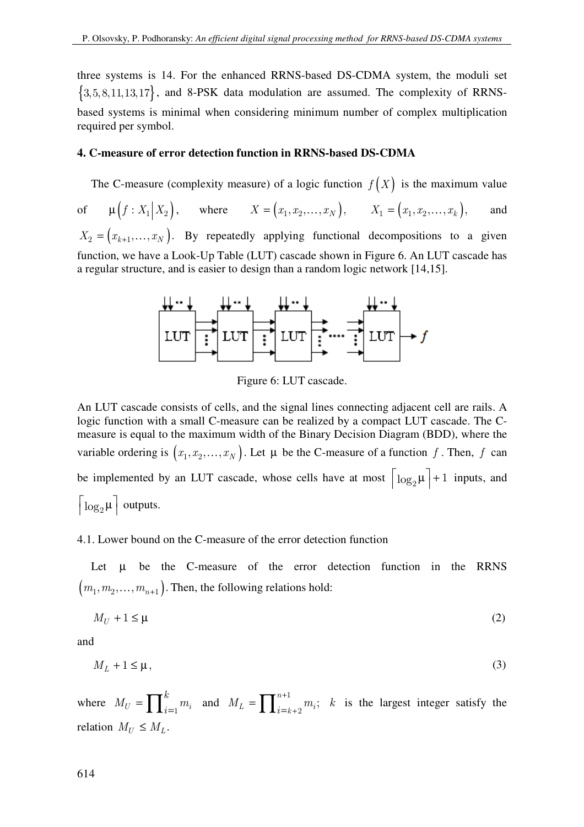three systems is 14. For the enhanced RRNS-based DS-CDMA system, the moduli set  ${3, 5, 8, 11, 13, 17}$ , and 8-PSK data modulation are assumed. The complexity of RRNSbased systems is minimal when considering minimum number of complex multiplication required per symbol.

### **4. C-measure of error detection function in RRNS-based DS-CDMA**

The C-measure (complexity measure) of a logic function  $f(X)$  is the maximum value of  $\mu(f: X_1 | X_2)$ , where  $X = (x_1, x_2, ..., x_N)$ ,  $X_1 = (x_1, x_2, ..., x_k)$ , and  $X_2 = (x_{k+1},...,x_N)$ . By repeatedly applying functional decompositions to a given function, we have a Look-Up Table (LUT) cascade shown in Figure 6. An LUT cascade has a regular structure, and is easier to design than a random logic network [14,15].



Figure 6: LUT cascade.

An LUT cascade consists of cells, and the signal lines connecting adjacent cell are rails. A logic function with a small C-measure can be realized by a compact LUT cascade. The Cmeasure is equal to the maximum width of the Binary Decision Diagram (BDD), where the variable ordering is  $(x_1, x_2, ..., x_N)$ . Let  $\mu$  be the C-measure of a function f. Then, f can be implemented by an LUT cascade, whose cells have at most  $\left\lceil \log_2 \mu \right\rceil + 1$  inputs, and  $\lceil \log_2 \mu \rceil$  outputs.

### 4.1. Lower bound on the C-measure of the error detection function

Let  $\mu$  be the C-measure of the error detection function in the RRNS  $(m_1, m_2, \ldots, m_{n+1})$ . Then, the following relations hold:

$$
M_U + 1 \le \mu \tag{2}
$$

and

$$
M_L + 1 \le \mu,\tag{3}
$$

where  $M_U = \prod_{i=1}^k m_i$ *k*  $M_U = \prod_{i=1}^k m_i$  and  $M_L = \prod_{i=1}^{n+1}$  $=\prod\nolimits_{i=k+}^{n+1}$  $\sum_{i=k+2}^{n+1} m_i;$  $M_L = \prod_{i=k+2}^{n+1} m_i$ ; k is the largest integer satisfy the relation  $M_U \leq M_L$ .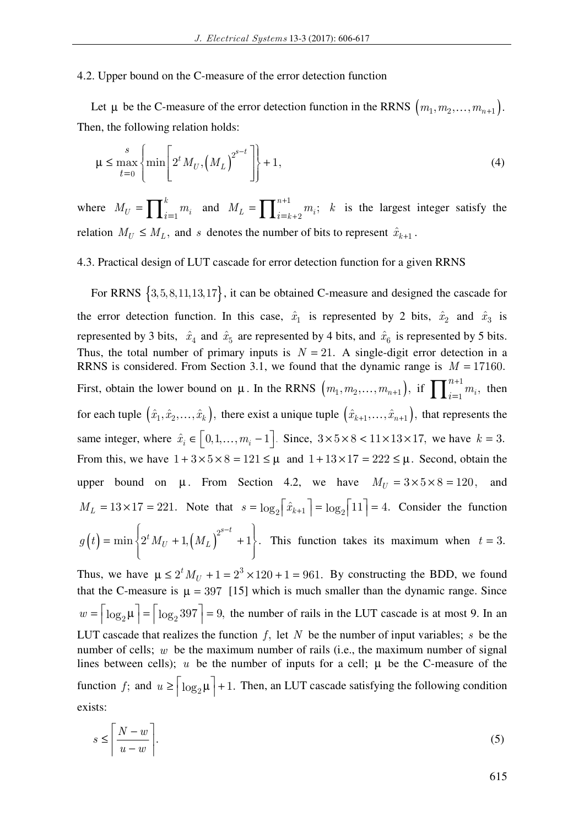### 4.2. Upper bound on the C-measure of the error detection function

Let  $\mu$  be the C-measure of the error detection function in the RRNS  $(m_1, m_2, ..., m_{n+1})$ . Then, the following relation holds:

$$
\mu \le \max_{t=0}^{s} \left\{ \min \left[ 2^t M_U, \left( M_L \right)^{2^{s-t}} \right] \right\} + 1,\tag{4}
$$

where  $M_U = \prod_{i=1}^k$  $M_U = \prod_{i=1}^k m_i$  and  $M_L = \prod_{i=1}^{n+1}$  $=\prod\nolimits_{i=k+}^{n+1}$  $\sum_{i=k+2}^{n+1} m_i;$  $M_L = \prod_{i=k+2}^{n+1} m_i$ ; k is the largest integer satisfy the relation  $M_U \leq M_L$ , and *s* denotes the number of bits to represent  $\hat{x}_{k+1}$ .

# 4.3. Practical design of LUT cascade for error detection function for a given RRNS

For RRNS  $\{3, 5, 8, 11, 13, 17\}$ , it can be obtained C-measure and designed the cascade for the error detection function. In this case,  $\hat{x}_1$  is represented by 2 bits,  $\hat{x}_2$  and  $\hat{x}_3$  is represented by 3 bits,  $\hat{x}_4$  and  $\hat{x}_5$  are represented by 4 bits, and  $\hat{x}_6$  is represented by 5 bits. Thus, the total number of primary inputs is  $N = 21$ . A single-digit error detection in a RRNS is considered. From Section 3.1, we found that the dynamic range is  $M = 17160$ . First, obtain the lower bound on  $\mu$ . In the RRNS  $(m_1, m_2, ..., m_{n+1})$ , if  $\prod_{i=1}^{n+1}$  $\frac{1}{1}m_i,$ *n*  $\prod_{i=1}^{n+1} m_i$ , then for each tuple  $(\hat{x}_1, \hat{x}_2, \dots, \hat{x}_k)$ , there exist a unique tuple  $(\hat{x}_{k+1}, \dots, \hat{x}_{n+1})$ , that represents the same integer, where  $\hat{x}_i \in [0, 1, \dots, m_i - 1]$ . Since,  $3 \times 5 \times 8 < 11 \times 13 \times 17$ , we have  $k = 3$ . From this, we have  $1 + 3 \times 5 \times 8 = 121 \le \mu$  and  $1 + 13 \times 17 = 222 \le \mu$ . Second, obtain the upper bound on  $\mu$ . From Section 4.2, we have  $M_U = 3 \times 5 \times 8 = 120$ , and  $M_L = 13 \times 17 = 221$ . Note that  $s = \log_2 |\hat{x}_{k+1}| = \log_2 |11| = 4$ . Consider the function  $\left( t \right) = \min \left\{ 2^t \, M_U + 1, \left( M_L \right)^{2^{s-t}} + 1 \right\}$  $= \min \bigg\{ 2^t \, M_U^{\vphantom{A}} + 1, \big(M_L^{\vphantom{A}}\big)^{2^{s-t}} + 1 \bigg\}.$  $g(t) = \min \left\{ 2^t M_U + 1, (M_L)^{2^{s-t}} + 1 \right\}.$  This function takes its maximum when  $t = 3$ .

Thus, we have  $\mu \le 2^t M_U + 1 = 2^3 \times 120 + 1 = 961$ . By constructing the BDD, we found that the C-measure is  $\mu = 397$  [15] which is much smaller than the dynamic range. Since  $w = \lceil \log_2 \mu \rceil = \lceil \log_2 397 \rceil = 9$ , the number of rails in the LUT cascade is at most 9. In an LUT cascade that realizes the function *f*, let *N* be the number of input variables; *s* be the number of cells; *w* be the maximum number of rails (i.e., the maximum number of signal lines between cells);  $u$  be the number of inputs for a cell;  $\mu$  be the C-measure of the function *f*; and  $u \ge \lceil \log_2 \mu \rceil + 1$ . Then, an LUT cascade satisfying the following condition exists:

$$
s \le \left\lceil \frac{N - w}{u - w} \right\rceil. \tag{5}
$$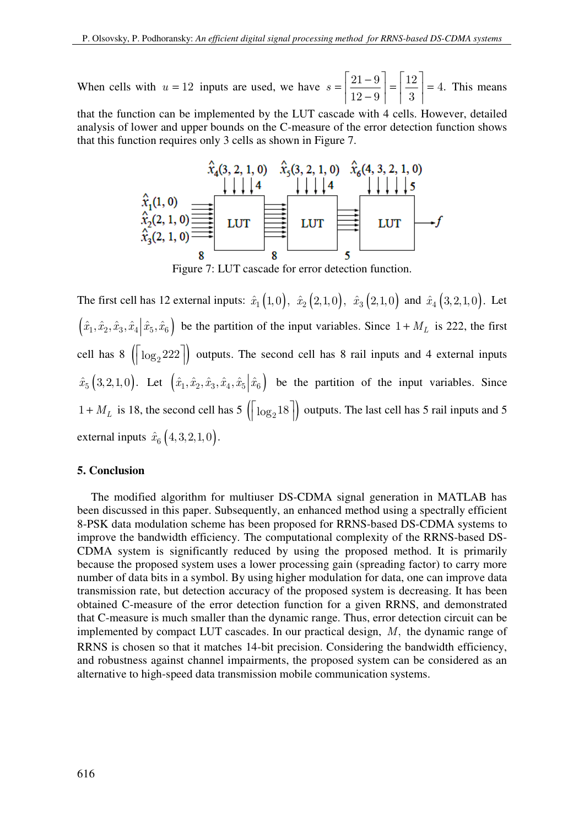When cells with  $u = 12$  inputs are used, we have  $s = \left[\frac{21 - 9}{12}\right] = \left[\frac{12}{2}\right]$  $=\left|\frac{21-9}{12-9}\right|=\left|\frac{12}{3}\right|=4.$  $12 - 9$  | 3  $s = \left| \frac{24}{10} \right| = \left| \frac{12}{0} \right| = 4$ . This means

that the function can be implemented by the LUT cascade with 4 cells. However, detailed analysis of lower and upper bounds on the C-measure of the error detection function shows that this function requires only 3 cells as shown in Figure 7.



Figure 7: LUT cascade for error detection function.

The first cell has 12 external inputs:  $\hat{x}_1 (1, 0), \ \hat{x}_2 (2, 1, 0), \ \hat{x}_3 (2, 1, 0)$  and  $\hat{x}_4 (3, 2, 1, 0)$ . Let  $(\hat{x}_1, \hat{x}_2, \hat{x}_3, \hat{x}_4 | \hat{x}_5, \hat{x}_6)$  be the partition of the input variables. Since  $1 + M_L$  is 222, the first cell has 8  $\left(\left\lceil \log_2 222 \right\rceil \right)$  outputs. The second cell has 8 rail inputs and 4 external inputs  $\hat{x}_5(3, 2, 1, 0)$ . Let  $(\hat{x}_1, \hat{x}_2, \hat{x}_3, \hat{x}_4, \hat{x}_5 | \hat{x}_6)$  be the partition of the input variables. Since  $1 + M_L$  is 18, the second cell has  $5(\log_2 18)$  outputs. The last cell has 5 rail inputs and 5 external inputs  $\hat{x}_6$   $(4,3,2,1,0)$ .

# **5. Conclusion**

The modified algorithm for multiuser DS-CDMA signal generation in MATLAB has been discussed in this paper. Subsequently, an enhanced method using a spectrally efficient 8-PSK data modulation scheme has been proposed for RRNS-based DS-CDMA systems to improve the bandwidth efficiency. The computational complexity of the RRNS-based DS-CDMA system is significantly reduced by using the proposed method. It is primarily because the proposed system uses a lower processing gain (spreading factor) to carry more number of data bits in a symbol. By using higher modulation for data, one can improve data transmission rate, but detection accuracy of the proposed system is decreasing. It has been obtained C-measure of the error detection function for a given RRNS, and demonstrated that C-measure is much smaller than the dynamic range. Thus, error detection circuit can be implemented by compact LUT cascades. In our practical design, *M*, the dynamic range of RRNS is chosen so that it matches 14-bit precision. Considering the bandwidth efficiency, and robustness against channel impairments, the proposed system can be considered as an alternative to high-speed data transmission mobile communication systems.